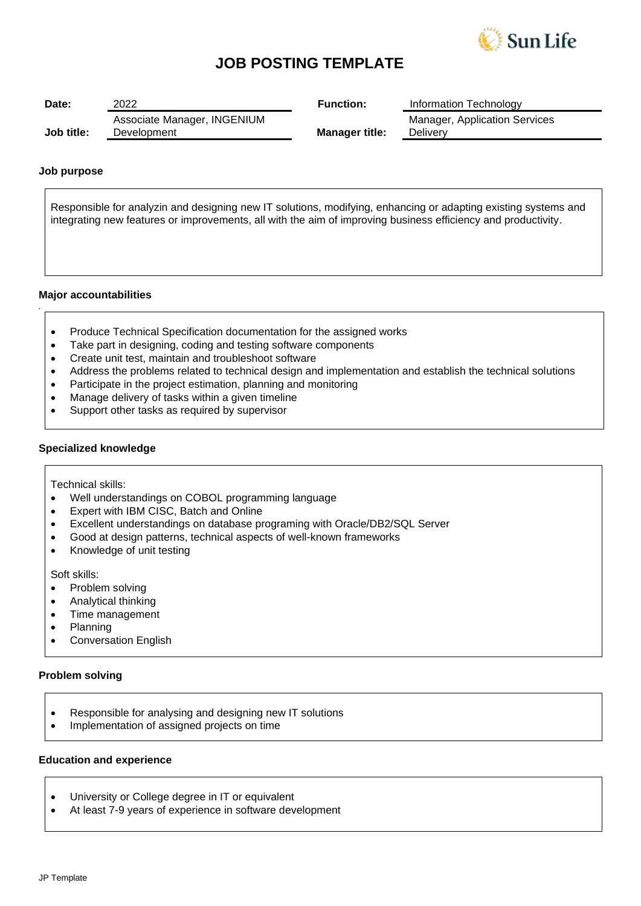

## **JOB POSTING TEMPLATE**

| Date:      | 2022                                       | <b>Function:</b>      | Information Technology                           |
|------------|--------------------------------------------|-----------------------|--------------------------------------------------|
| Job title: | Associate Manager, INGENIUM<br>Development | <b>Manager title:</b> | <b>Manager, Application Services</b><br>Delivery |

#### **Job purpose**

Responsible for analyzin and designing new IT solutions, modifying, enhancing or adapting existing systems and integrating new features or improvements, all with the aim of improving business efficiency and productivity.

#### **Major accountabilities**

*.*

- Produce Technical Specification documentation for the assigned works
- Take part in designing, coding and testing software components
- Create unit test, maintain and troubleshoot software
- Address the problems related to technical design and implementation and establish the technical solutions
- Participate in the project estimation, planning and monitoring
- Manage delivery of tasks within a given timeline
- Support other tasks as required by supervisor

#### **Specialized knowledge**

Technical skills:

- Well understandings on COBOL programming language
- Expert with IBM CISC, Batch and Online
- Excellent understandings on database programing with Oracle/DB2/SQL Server
- Good at design patterns, technical aspects of well-known frameworks
- Knowledge of unit testing

Soft skills:

- Problem solving
- Analytical thinking
- Time management
- Planning
- Conversation English

#### **Problem solving**

- Responsible for analysing and designing new IT solutions
- Implementation of assigned projects on time

#### **Education and experience**

- University or College degree in IT or equivalent
- At least 7-9 years of experience in software development